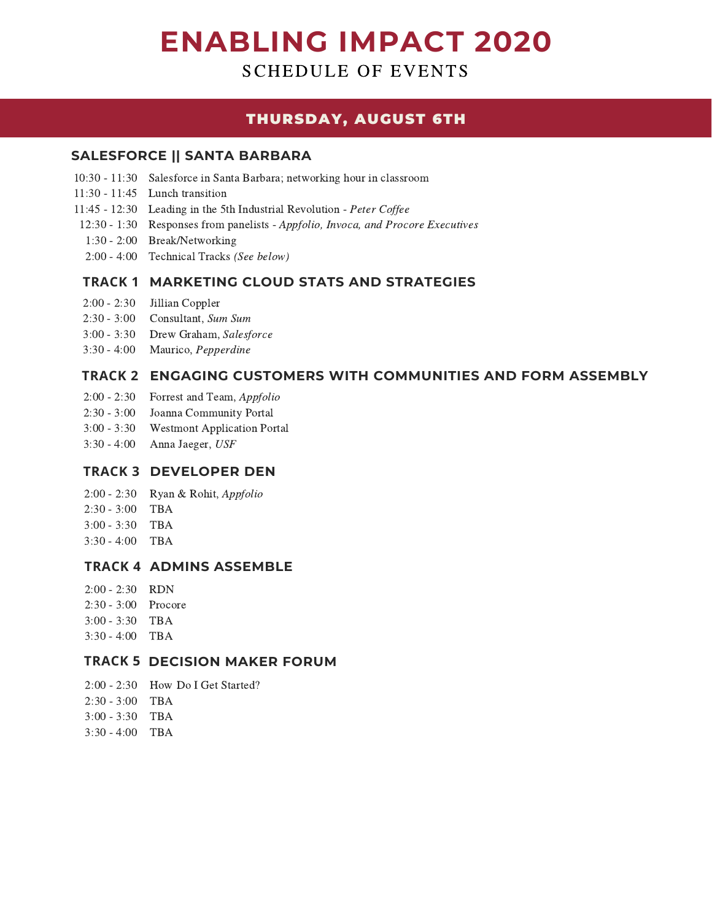# **ENABLING IMPACT 2020**

SCHEDULE OF EVENTS

# THURSDAY, AUGUST 6TH

# **SALESFORCE || SANTA BARBARA**

- 10:30 11:30 Salesforce in Santa Barbara; networking hour in classroom
- 11:30 11:45 Lunch transition
- 11:45 12:30 Leading in the 5th Industrial Revolution Peter Coffee
- 12:30 1:30 Responses from panelists Appfolio, Invoca, and Procore Executives
- 1:30 2:00 Break/Networking
- 2:00 4:00 Technical Tracks (See below)

# **TRACK 1 MARKETING CLOUD STATS AND STRATEGIES**

- 2:00 2:30 Jillian Coppler
- 2:30 3:00 Consultant, Sum Sum
- 3:00 3:30 Drew Graham, Salesforce
- 3:30 4:00 Maurico, Pepperdine

# **TRACK 2 ENGAGING CUSTOMERS WITH COMMUNITIES AND FORM ASSEMBLY**

- 2:00 2:30 Forrest and Team, Appfolio
- 2:30 3:00 Joanna Community Portal
- 3:00 3:30 Westmont Application Portal
- 3:30 4:00 Anna Jaeger, USF

#### **TRACK 3 DEVELOPER DEN**

- 2:00 2:30 Ryan & Rohit, Appfolio
- 2:30 3:00 TBA
- 3:00 3:30 TBA
- 3:30 4:00 TBA

#### **TRACK 4 ADMINS ASSEMBLE**

- 2:00 2:30 RDN
- 2:30 3:00 Procore
- 3:00 3:30 TBA
- 3:30 4:00 TBA

# **TRACK 5 DECISION MAKER FORUM**

- 2:00 2:30 How Do I Get Started?
- 2:30 3:00 TBA
- 3:00 3:30 TBA
- 3:30 4:00 TBA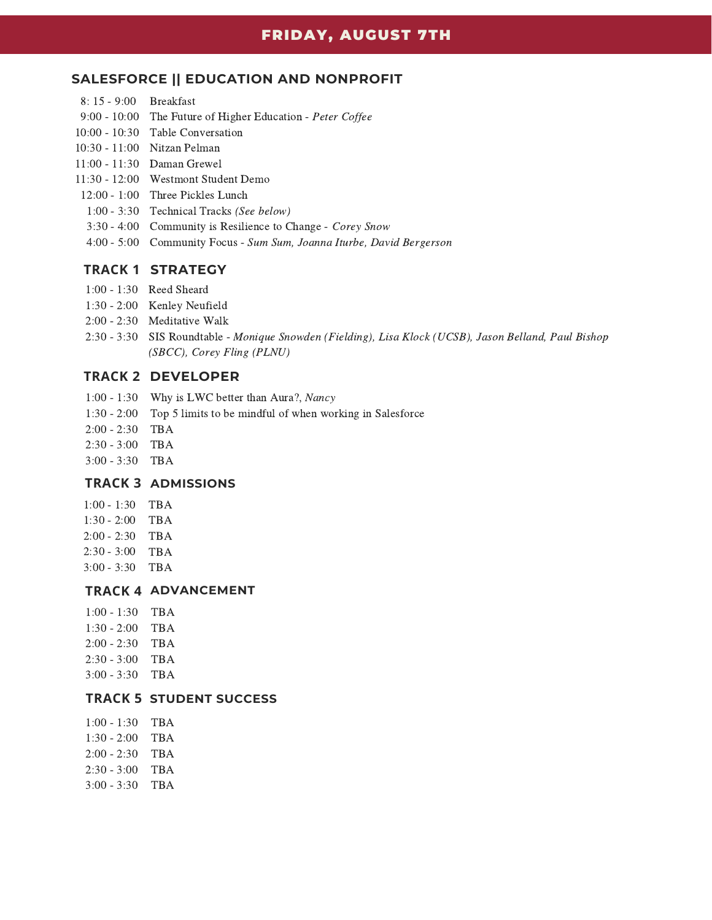#### **SALESFORCE || EDUCATION AND NONPROFIT**

- 8: 15 9:00 Breakfast
- 9:00 10:00 The Future of Higher Education Peter Coffee
- 10:00 10:30 Table Conversation
- 10:30 11:00 Nitzan Pelman
- 11:00 11:30 Daman Grewel
- 11:30 12:00 Westmont Student Demo
- 12:00 1:00 Three Pickles Lunch
- 1:00 3:30 Technical Tracks (See below)
- 3:30 4:00 Community is Resilience to Change Corey Snow
- 4:00 5:00 Community Focus Sum Sum, Joanna Iturbe, David Bergerson

#### **TRACK 1 STRATEGY**

- 1:00 1:30 Reed Sheard
- 1:30 2:00 Kenley Neufield
- 2:00 2:30 Meditative Walk
- 2:30 3:30 SIS Roundtable Monique Snowden (Fielding), Lisa Klock (UCSB), Jason Belland, Paul Bishop (SBCC), Corey Fling (PLNU)

#### **TRACK 2 DEVELOPER**

- Why is LWC better than Aura?, Nancy 1:00 1:30
- 1:30 2:00 Top 5 limits to be mindful of when working in Salesforce
- $2:00 2:30$  TBA
- $2:30 3:00$  TBA
- $3:00 3:30$  TBA

#### **TRACK 3 ADMISSIONS**

- 1:00 1:30 TBA  $1:30 - 2:00$  TBA
- $2:00 2:30$  TBA
- $2:30 3:00$  TBA
- $3:00 3:30$  TBA

# **TRACK 4 ADVANCEMENT**

1:00 - 1:30 TBA 1:30 - 2:00 TBA 2:00 - 2:30 2:30 - 3:00 TBA 3:00 - 3:30 TBA TBA

#### **TRACK 5 STUDENT SUCCESS**

1:00 - 1:30 TBA 1:30 - 2:00 TBA 2:00 - 2:30 TBA 2:30 - 3:00 TBA 3:00 - 3:30 TBA